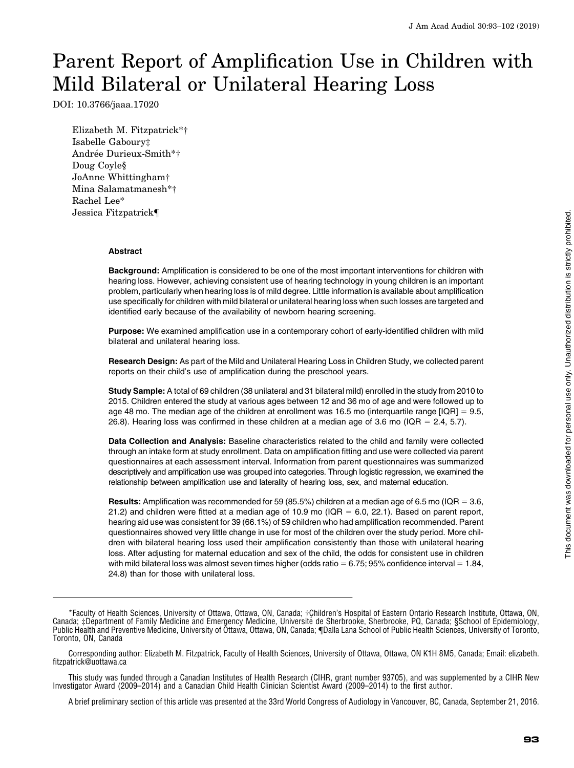# Parent Report of Amplification Use in Children with Mild Bilateral or Unilateral Hearing Loss

DOI: 10.3766/jaaa.17020

Elizabeth M. Fitzpatrick\*† Isabelle Gaboury‡ Andrée Durieux-Smith\*\* Doug Coyle§ JoAnne Whittingham† Mina Salamatmanesh\*† Rachel Lee\* Jessica Fitzpatrick{

## Abstract

Background: Amplification is considered to be one of the most important interventions for children with hearing loss. However, achieving consistent use of hearing technology in young children is an important problem, particularly when hearing loss is of mild degree. Little information is available about amplification use specifically for children with mild bilateral or unilateral hearing loss when such losses are targeted and identified early because of the availability of newborn hearing screening.

Purpose: We examined amplification use in a contemporary cohort of early-identified children with mild bilateral and unilateral hearing loss.

Research Design: As part of the Mild and Unilateral Hearing Loss in Children Study, we collected parent reports on their child's use of amplification during the preschool years.

Study Sample: A total of 69 children (38 unilateral and 31 bilateral mild) enrolled in the study from 2010 to 2015. Children entered the study at various ages between 12 and 36 mo of age and were followed up to age 48 mo. The median age of the children at enrollment was 16.5 mo (interquartile range  $[IQR] = 9.5$ , 26.8). Hearing loss was confirmed in these children at a median age of 3.6 mo (IQR = 2.4, 5.7).

Data Collection and Analysis: Baseline characteristics related to the child and family were collected through an intake form at study enrollment. Data on amplification fitting and use were collected via parent questionnaires at each assessment interval. Information from parent questionnaires was summarized descriptively and amplification use was grouped into categories. Through logistic regression, we examined the relationship between amplification use and laterality of hearing loss, sex, and maternal education.

**Results:** Amplification was recommended for 59 (85.5%) children at a median age of 6.5 mo (IQR = 3.6, 21.2) and children were fitted at a median age of 10.9 mo ( $IQR = 6.0$ , 22.1). Based on parent report, hearing aid use was consistent for 39 (66.1%) of 59 children who had amplification recommended. Parent questionnaires showed very little change in use for most of the children over the study period. More children with bilateral hearing loss used their amplification consistently than those with unilateral hearing loss. After adjusting for maternal education and sex of the child, the odds for consistent use in children with mild bilateral loss was almost seven times higher (odds ratio =  $6.75$ ; 95% confidence interval =  $1.84$ , 24.8) than for those with unilateral loss.

<sup>\*</sup>Faculty of Health Sciences, University of Ottawa, Ottawa, ON, Canada; †Children's Hospital of Eastern Ontario Research Institute, Ottawa, ON, Canada; ‡Department of Family Medicine and Emergency Medicine, Universite de Sherbrooke, Sherbrooke, PQ, Canada; §School of Epidemiology, ´ Public Health and Preventive Medicine, University of Ottawa, Ottawa, ON, Canada; [Dalla Lana School of Public Health Sciences, University of Toronto, Toronto, ON, Canada

Corresponding author: Elizabeth M. Fitzpatrick, Faculty of Health Sciences, University of Ottawa, Ottawa, ON K1H 8M5, Canada; Email: [elizabeth.](mailto:elizabeth.fitzpatrick@uottawa.ca) [fitzpatrick@uottawa.ca](mailto:elizabeth.fitzpatrick@uottawa.ca)

This study was funded through a Canadian Institutes of Health Research (CIHR, grant number 93705), and was supplemented by a CIHR New Investigator Award (2009–2014) and a Canadian Child Health Clinician Scientist Award (2009–2014) to the first author.

A brief preliminary section of this article was presented at the 33rd World Congress of Audiology in Vancouver, BC, Canada, September 21, 2016.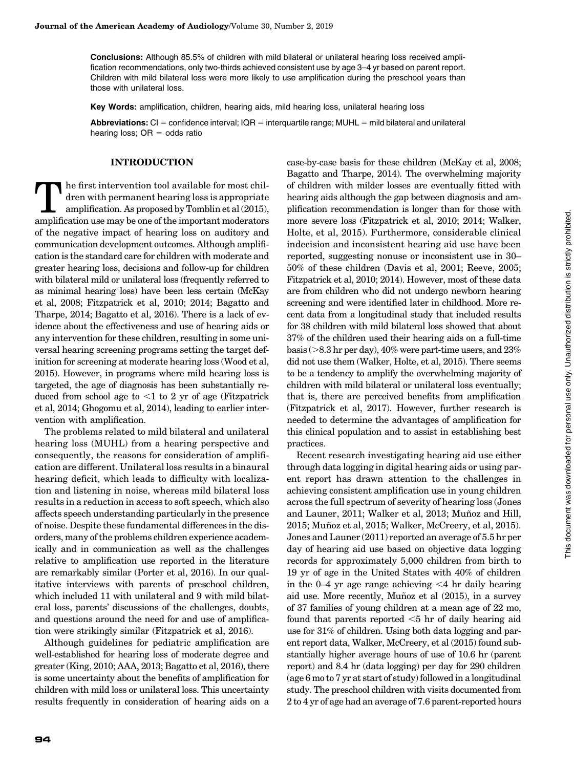Conclusions: Although 85.5% of children with mild bilateral or unilateral hearing loss received amplification recommendations, only two-thirds achieved consistent use by age 3–4 yr based on parent report. Children with mild bilateral loss were more likely to use amplification during the preschool years than those with unilateral loss.

Key Words: amplification, children, hearing aids, mild hearing loss, unilateral hearing loss

Abbreviations:  $Cl =$  confidence interval;  $IQR =$  interguartile range; MUHL  $=$  mild bilateral and unilateral hearing loss;  $OR = odds$  ratio

#### INTRODUCTION

The first intervention tool available for most children with permanent hearing loss is appropriate<br>amplification. As proposed by Tomblin et al (2015),<br>amplification use may be one of the important moderators dren with permanent hearing loss is appropriate amplification. As proposed by Tomblin et al (2015), amplification use may be one of the important moderators of the negative impact of hearing loss on auditory and communication development outcomes. Although amplification is the standard care for children with moderate and greater hearing loss, decisions and follow-up for children with bilateral mild or unilateral loss (frequently referred to as minimal hearing loss) have been less certain (McKay et al, 2008; Fitzpatrick et al, 2010; 2014; Bagatto and Tharpe, 2014; Bagatto et al, 2016). There is a lack of evidence about the effectiveness and use of hearing aids or any intervention for these children, resulting in some universal hearing screening programs setting the target definition for screening at moderate hearing loss (Wood et al, 2015). However, in programs where mild hearing loss is targeted, the age of diagnosis has been substantially reduced from school age to  $\leq 1$  to 2 yr of age (Fitzpatrick et al, 2014; Ghogomu et al, 2014), leading to earlier intervention with amplification.

The problems related to mild bilateral and unilateral hearing loss (MUHL) from a hearing perspective and consequently, the reasons for consideration of amplification are different. Unilateral loss results in a binaural hearing deficit, which leads to difficulty with localization and listening in noise, whereas mild bilateral loss results in a reduction in access to soft speech, which also affects speech understanding particularly in the presence of noise. Despite these fundamental differences in the disorders, many of the problems children experience academically and in communication as well as the challenges relative to amplification use reported in the literature are remarkably similar (Porter et al, 2016). In our qualitative interviews with parents of preschool children, which included 11 with unilateral and 9 with mild bilateral loss, parents' discussions of the challenges, doubts, and questions around the need for and use of amplification were strikingly similar (Fitzpatrick et al, 2016).

Although guidelines for pediatric amplification are well-established for hearing loss of moderate degree and greater (King, 2010; AAA, 2013; Bagatto et al, 2016), there is some uncertainty about the benefits of amplification for children with mild loss or unilateral loss. This uncertainty results frequently in consideration of hearing aids on a case-by-case basis for these children (McKay et al, 2008; Bagatto and Tharpe, 2014). The overwhelming majority of children with milder losses are eventually fitted with hearing aids although the gap between diagnosis and amplification recommendation is longer than for those with more severe loss (Fitzpatrick et al, 2010; 2014; Walker, Holte, et al, 2015). Furthermore, considerable clinical indecision and inconsistent hearing aid use have been reported, suggesting nonuse or inconsistent use in 30– 50% of these children (Davis et al, 2001; Reeve, 2005; Fitzpatrick et al, 2010; 2014). However, most of these data are from children who did not undergo newborn hearing screening and were identified later in childhood. More recent data from a longitudinal study that included results for 38 children with mild bilateral loss showed that about 37% of the children used their hearing aids on a full-time basis ( $>8.3$  hr per day), 40% were part-time users, and 23% did not use them (Walker, Holte, et al, 2015). There seems to be a tendency to amplify the overwhelming majority of children with mild bilateral or unilateral loss eventually; that is, there are perceived benefits from amplification (Fitzpatrick et al, 2017). However, further research is needed to determine the advantages of amplification for this clinical population and to assist in establishing best practices.

Recent research investigating hearing aid use either through data logging in digital hearing aids or using parent report has drawn attention to the challenges in achieving consistent amplification use in young children across the full spectrum of severity of hearing loss (Jones and Launer, 2011; Walker et al, 2013; Muñoz and Hill, 2015; Muñoz et al, 2015; Walker, McCreery, et al, 2015). Jones and Launer (2011) reported an average of 5.5 hr per day of hearing aid use based on objective data logging records for approximately 5,000 children from birth to 19 yr of age in the United States with 40% of children in the  $0-4$  yr age range achieving  $\leq 4$  hr daily hearing aid use. More recently, Muñoz et al  $(2015)$ , in a survey of 37 families of young children at a mean age of 22 mo, found that parents reported  $<$ 5 hr of daily hearing aid use for 31% of children. Using both data logging and parent report data, Walker, McCreery, et al (2015) found substantially higher average hours of use of 10.6 hr (parent report) and 8.4 hr (data logging) per day for 290 children (age 6 mo to 7 yr at start of study) followed in a longitudinal study. The preschool children with visits documented from 2 to 4 yr of age had an average of 7.6 parent-reported hours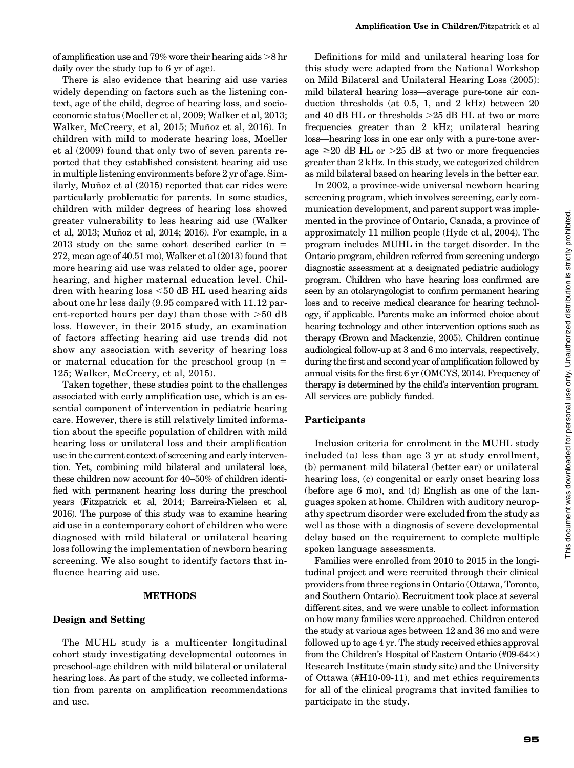of amplification use and 79% wore their hearing aids  $>8$  hr daily over the study (up to 6 yr of age).

There is also evidence that hearing aid use varies widely depending on factors such as the listening context, age of the child, degree of hearing loss, and socioeconomic status (Moeller et al, 2009; Walker et al, 2013; Walker, McCreery, et al, 2015; Muñoz et al, 2016). In children with mild to moderate hearing loss, Moeller et al (2009) found that only two of seven parents reported that they established consistent hearing aid use in multiple listening environments before 2 yr of age. Similarly, Muñoz et al  $(2015)$  reported that car rides were particularly problematic for parents. In some studies, children with milder degrees of hearing loss showed greater vulnerability to less hearing aid use (Walker et al, 2013; Muñoz et al, 2014; 2016). For example, in a  $2013$  study on the same cohort described earlier (n = 272, mean age of 40.51 mo), Walker et al (2013) found that more hearing aid use was related to older age, poorer hearing, and higher maternal education level. Children with hearing loss  $< 50$  dB HL used hearing aids about one hr less daily (9.95 compared with 11.12 parent-reported hours per day) than those with  $>50$  dB loss. However, in their 2015 study, an examination of factors affecting hearing aid use trends did not show any association with severity of hearing loss or maternal education for the preschool group  $(n =$ 125; Walker, McCreery, et al, 2015).

Taken together, these studies point to the challenges associated with early amplification use, which is an essential component of intervention in pediatric hearing care. However, there is still relatively limited information about the specific population of children with mild hearing loss or unilateral loss and their amplification use in the current context of screening and early intervention. Yet, combining mild bilateral and unilateral loss, these children now account for 40–50% of children identified with permanent hearing loss during the preschool years (Fitzpatrick et al, 2014; Barreira-Nielsen et al, 2016). The purpose of this study was to examine hearing aid use in a contemporary cohort of children who were diagnosed with mild bilateral or unilateral hearing loss following the implementation of newborn hearing screening. We also sought to identify factors that influence hearing aid use.

## METHODS

#### Design and Setting

The MUHL study is a multicenter longitudinal cohort study investigating developmental outcomes in preschool-age children with mild bilateral or unilateral hearing loss. As part of the study, we collected information from parents on amplification recommendations and use.

Definitions for mild and unilateral hearing loss for this study were adapted from the National Workshop on Mild Bilateral and Unilateral Hearing Loss (2005): mild bilateral hearing loss—average pure-tone air conduction thresholds (at 0.5, 1, and 2 kHz) between 20 and 40 dB HL or thresholds  $>25$  dB HL at two or more frequencies greater than 2 kHz; unilateral hearing loss—hearing loss in one ear only with a pure-tone average  $\geq$ 20 dB HL or  $>$ 25 dB at two or more frequencies greater than 2 kHz. In this study, we categorized children as mild bilateral based on hearing levels in the better ear.

In 2002, a province-wide universal newborn hearing screening program, which involves screening, early communication development, and parent support was implemented in the province of Ontario, Canada, a province of approximately 11 million people (Hyde et al, 2004). The program includes MUHL in the target disorder. In the Ontario program, children referred from screening undergo diagnostic assessment at a designated pediatric audiology program. Children who have hearing loss confirmed are seen by an otolaryngologist to confirm permanent hearing loss and to receive medical clearance for hearing technology, if applicable. Parents make an informed choice about hearing technology and other intervention options such as therapy (Brown and Mackenzie, 2005). Children continue audiological follow-up at 3 and 6 mo intervals, respectively, during the first and second year of amplification followed by annual visits for the first 6 yr (OMCYS, 2014). Frequency of therapy is determined by the child's intervention program. All services are publicly funded.

## Participants

Inclusion criteria for enrolment in the MUHL study included (a) less than age 3 yr at study enrollment, (b) permanent mild bilateral (better ear) or unilateral hearing loss, (c) congenital or early onset hearing loss (before age 6 mo), and (d) English as one of the languages spoken at home. Children with auditory neuropathy spectrum disorder were excluded from the study as well as those with a diagnosis of severe developmental delay based on the requirement to complete multiple spoken language assessments.

Families were enrolled from 2010 to 2015 in the longitudinal project and were recruited through their clinical providers from three regions in Ontario (Ottawa, Toronto, and Southern Ontario). Recruitment took place at several different sites, and we were unable to collect information on how many families were approached. Children entered the study at various ages between 12 and 36 mo and were followed up to age 4 yr. The study received ethics approval from the Children's Hospital of Eastern Ontario (#09-64 $\times$ ) Research Institute (main study site) and the University of Ottawa (#H10-09-11), and met ethics requirements for all of the clinical programs that invited families to participate in the study.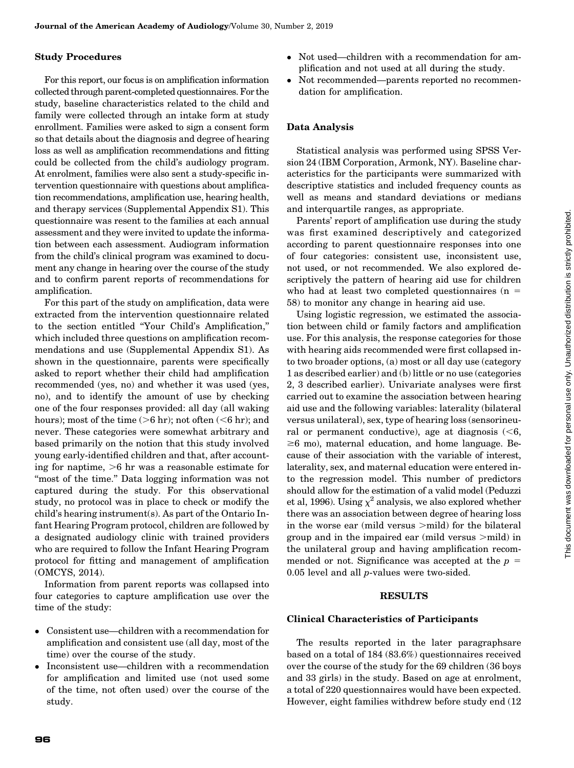## Study Procedures

For this report, our focus is on amplification information collected through parent-completed questionnaires. For the study, baseline characteristics related to the child and family were collected through an intake form at study enrollment. Families were asked to sign a consent form so that details about the diagnosis and degree of hearing loss as well as amplification recommendations and fitting could be collected from the child's audiology program. At enrolment, families were also sent a study-specific intervention questionnaire with questions about amplification recommendations, amplification use, hearing health, and therapy services (Supplemental Appendix S1). This questionnaire was resent to the families at each annual assessment and they were invited to update the information between each assessment. Audiogram information from the child's clinical program was examined to document any change in hearing over the course of the study and to confirm parent reports of recommendations for amplification.

For this part of the study on amplification, data were extracted from the intervention questionnaire related to the section entitled ''Your Child's Amplification,'' which included three questions on amplification recommendations and use (Supplemental Appendix S1). As shown in the questionnaire, parents were specifically asked to report whether their child had amplification recommended (yes, no) and whether it was used (yes, no), and to identify the amount of use by checking one of the four responses provided: all day (all waking hours); most of the time  $(>6$  hr); not often  $(<6$  hr); and never. These categories were somewhat arbitrary and based primarily on the notion that this study involved young early-identified children and that, after accounting for naptime,  $>6$  hr was a reasonable estimate for "most of the time." Data logging information was not captured during the study. For this observational study, no protocol was in place to check or modify the child's hearing instrument(s). As part of the Ontario Infant Hearing Program protocol, children are followed by a designated audiology clinic with trained providers who are required to follow the Infant Hearing Program protocol for fitting and management of amplification (OMCYS, 2014).

Information from parent reports was collapsed into four categories to capture amplification use over the time of the study:

- Consistent use—children with a recommendation for amplification and consistent use (all day, most of the time) over the course of the study.
- Inconsistent use—children with a recommendation for amplification and limited use (not used some of the time, not often used) over the course of the study.
- Not used—children with a recommendation for amplification and not used at all during the study.
- $\bullet$  Not recommended—parents reported no recommendation for amplification.

# Data Analysis

Statistical analysis was performed using SPSS Version 24 (IBM Corporation, Armonk, NY). Baseline characteristics for the participants were summarized with descriptive statistics and included frequency counts as well as means and standard deviations or medians and interquartile ranges, as appropriate.

Parents' report of amplification use during the study was first examined descriptively and categorized according to parent questionnaire responses into one of four categories: consistent use, inconsistent use, not used, or not recommended. We also explored descriptively the pattern of hearing aid use for children who had at least two completed questionnaires  $(n =$ 58) to monitor any change in hearing aid use.

Using logistic regression, we estimated the association between child or family factors and amplification use. For this analysis, the response categories for those with hearing aids recommended were first collapsed into two broader options, (a) most or all day use (category 1 as described earlier) and (b) little or no use (categories 2, 3 described earlier). Univariate analyses were first carried out to examine the association between hearing aid use and the following variables: laterality (bilateral versus unilateral), sex, type of hearing loss (sensorineural or permanent conductive), age at diagnosis  $(< 6, 6)$  $\geq 6$  mo), maternal education, and home language. Because of their association with the variable of interest, laterality, sex, and maternal education were entered into the regression model. This number of predictors should allow for the estimation of a valid model (Peduzzi et al, 1996). Using  $\chi^2$  analysis, we also explored whether there was an association between degree of hearing loss in the worse ear (mild versus  $>$ mild) for the bilateral group and in the impaired ear (mild versus  $\geq$ mild) in the unilateral group and having amplification recommended or not. Significance was accepted at the  $p =$ 0.05 level and all p-values were two-sided.

## RESULTS

## Clinical Characteristics of Participants

The results reported in the later paragraphsare based on a total of 184 (83.6%) questionnaires received over the course of the study for the 69 children (36 boys and 33 girls) in the study. Based on age at enrolment, a total of 220 questionnaires would have been expected. However, eight families withdrew before study end (12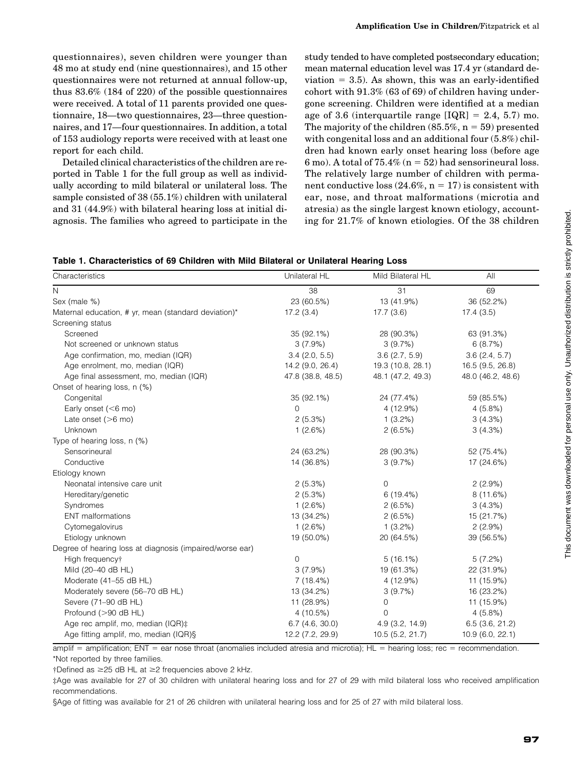questionnaires), seven children were younger than 48 mo at study end (nine questionnaires), and 15 other questionnaires were not returned at annual follow-up, thus 83.6% (184 of 220) of the possible questionnaires were received. A total of 11 parents provided one questionnaire, 18—two questionnaires, 23—three questionnaires, and 17—four questionnaires. In addition, a total of 153 audiology reports were received with at least one report for each child.

Detailed clinical characteristics of the children are reported in Table 1 for the full group as well as individually according to mild bilateral or unilateral loss. The sample consisted of 38 (55.1%) children with unilateral and 31 (44.9%) with bilateral hearing loss at initial diagnosis. The families who agreed to participate in the study tended to have completed postsecondary education; mean maternal education level was 17.4 yr (standard deviation  $= 3.5$ ). As shown, this was an early-identified cohort with 91.3% (63 of 69) of children having undergone screening. Children were identified at a median age of 3.6 (interquartile range  $[IQR] = 2.4, 5.7$ ) mo. The majority of the children  $(85.5\%, n = 59)$  presented with congenital loss and an additional four (5.8%) children had known early onset hearing loss (before age 6 mo). A total of  $75.4\%$  (n = 52) had sensorineural loss. The relatively large number of children with permanent conductive loss  $(24.6\%, n = 17)$  is consistent with ear, nose, and throat malformations (microtia and atresia) as the single largest known etiology, accounting for 21.7% of known etiologies. Of the 38 children

| Characteristics                                          | Unilateral HL     | Mild Bilateral HL   | All               |
|----------------------------------------------------------|-------------------|---------------------|-------------------|
| N                                                        | 38                | 31                  | 69                |
| Sex (male %)                                             | 23 (60.5%)        | 13 (41.9%)          | 36 (52.2%)        |
| Maternal education, # yr, mean (standard deviation)*     | 17.2(3.4)         | 17.7(3.6)           | 17.4(3.5)         |
| Screening status                                         |                   |                     |                   |
| Screened                                                 | 35 (92.1%)        | 28 (90.3%)          | 63 (91.3%)        |
| Not screened or unknown status                           | 3(7.9%)           | 3(9.7%)             | 6(8.7%)           |
| Age confirmation, mo, median (IQR)                       | $3.4$ (2.0, 5.5)  | 3.6(2.7, 5.9)       | 3.6(2.4, 5.7)     |
| Age enrolment, mo, median (IQR)                          | 14.2 (9.0, 26.4)  | 19.3 (10.8, 28.1)   | 16.5 (9.5, 26.8)  |
| Age final assessment, mo, median (IQR)                   | 47.8 (38.8, 48.5) | 48.1 (47.2, 49.3)   | 48.0 (46.2, 48.6) |
| Onset of hearing loss, n (%)                             |                   |                     |                   |
| Congenital                                               | 35 (92.1%)        | 24 (77.4%)          | 59 (85.5%)        |
| Early onset $(<$ 6 mo)                                   | $\Omega$          | 4(12.9%)            | 4(5.8%)           |
| Late onset $(>6$ mo)                                     | 2(5.3%)           | $1(3.2\%)$          | 3(4.3%)           |
| Unknown                                                  | 1(2.6%)           | 2(6.5%)             | 3(4.3%)           |
| Type of hearing loss, n (%)                              |                   |                     |                   |
| Sensorineural                                            | 24 (63.2%)        | 28 (90.3%)          | 52 (75.4%)        |
| Conductive                                               | 14 (36.8%)        | 3(9.7%)             | 17 (24.6%)        |
| Etiology known                                           |                   |                     |                   |
| Neonatal intensive care unit                             | 2(5.3%)           | 0                   | 2(2.9%)           |
| Hereditary/genetic                                       | 2(5.3%)           | 6(19.4%)            | 8(11.6%)          |
| Syndromes                                                | 1(2.6%)           | 2(6.5%)             | 3(4.3%)           |
| <b>ENT</b> malformations                                 | 13 (34.2%)        | 2(6.5%)             | 15 (21.7%)        |
| Cytomegalovirus                                          | 1(2.6%)           | $1(3.2\%)$          | 2(2.9%)           |
| Etiology unknown                                         | 19 (50.0%)        | 20 (64.5%)          | 39 (56.5%)        |
| Degree of hearing loss at diagnosis (impaired/worse ear) |                   |                     |                   |
| High frequencyt                                          | $\mathbf 0$       | 5(16.1%)            | 5(7.2%)           |
| Mild (20-40 dB HL)                                       | 3(7.9%)           | 19 (61.3%)          | 22 (31.9%)        |
| Moderate (41-55 dB HL)                                   | 7(18.4%)          | 4(12.9%)            | 11 (15.9%)        |
| Moderately severe (56-70 dB HL)                          | 13 (34.2%)        | 3(9.7%)             | 16 (23.2%)        |
| Severe (71-90 dB HL)                                     | 11 (28.9%)        | 0                   | 11 (15.9%)        |
| Profound (>90 dB HL)                                     | 4(10.5%)          | 0                   | 4(5.8%)           |
| Age rec amplif, mo, median (IQR):                        | $6.7$ (4.6, 30.0) | $4.9$ $(3.2, 14.9)$ | $6.5$ (3.6, 21.2) |
| Age fitting amplif, mo, median (IQR)§                    | 12.2 (7.2, 29.9)  | 10.5(5.2, 21.7)     | 10.9 (6.0, 22.1)  |

 $amplit = amplification$ ; ENT = ear nose throat (anomalies included atresia and microtia); HL = hearing loss; rec = recommendation. \*Not reported by three families.

 $\dagger$ Defined as  $\geq$ 25 dB HL at  $\geq$ 2 frequencies above 2 kHz.

‡Age was available for 27 of 30 children with unilateral hearing loss and for 27 of 29 with mild bilateral loss who received amplification recommendations.

§Age of fitting was available for 21 of 26 children with unilateral hearing loss and for 25 of 27 with mild bilateral loss.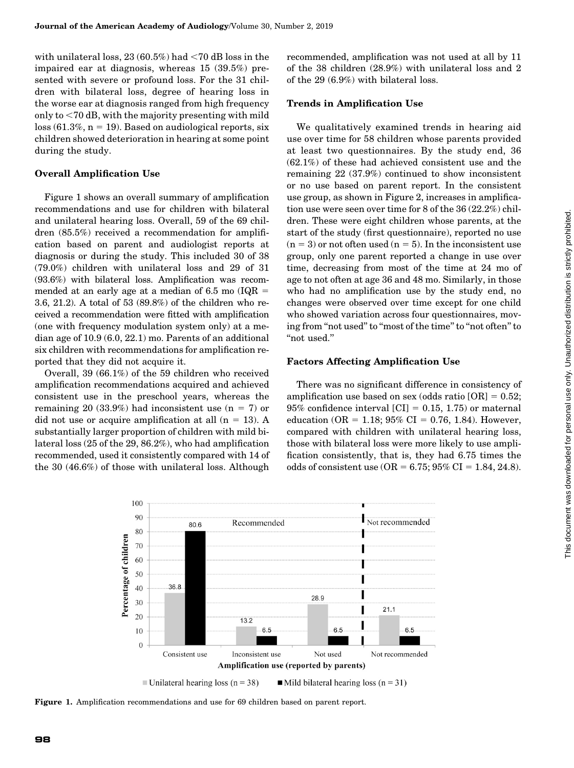with unilateral loss,  $23(60.5\%)$  had  $\lt 70$  dB loss in the impaired ear at diagnosis, whereas 15 (39.5%) presented with severe or profound loss. For the 31 children with bilateral loss, degree of hearing loss in the worse ear at diagnosis ranged from high frequency only to  $<$ 70 dB, with the majority presenting with mild  $loss (61.3%, n = 19)$ . Based on audiological reports, six children showed deterioration in hearing at some point during the study.

# Overall Amplification Use

Figure 1 shows an overall summary of amplification recommendations and use for children with bilateral and unilateral hearing loss. Overall, 59 of the 69 children (85.5%) received a recommendation for amplification based on parent and audiologist reports at diagnosis or during the study. This included 30 of 38 (79.0%) children with unilateral loss and 29 of 31 (93.6%) with bilateral loss. Amplification was recommended at an early age at a median of 6.5 mo ( $IQR =$ 3.6, 21.2). A total of 53 (89.8%) of the children who received a recommendation were fitted with amplification (one with frequency modulation system only) at a median age of 10.9 (6.0, 22.1) mo. Parents of an additional six children with recommendations for amplification reported that they did not acquire it.

Overall, 39 (66.1%) of the 59 children who received amplification recommendations acquired and achieved consistent use in the preschool years, whereas the remaining 20 (33.9%) had inconsistent use  $(n = 7)$  or did not use or acquire amplification at all  $(n = 13)$ . A substantially larger proportion of children with mild bilateral loss (25 of the 29, 86.2%), who had amplification recommended, used it consistently compared with 14 of the 30 (46.6%) of those with unilateral loss. Although

recommended, amplification was not used at all by 11 of the 38 children (28.9%) with unilateral loss and 2 of the 29 (6.9%) with bilateral loss.

## Trends in Amplification Use

We qualitatively examined trends in hearing aid use over time for 58 children whose parents provided at least two questionnaires. By the study end, 36 (62.1%) of these had achieved consistent use and the remaining 22 (37.9%) continued to show inconsistent or no use based on parent report. In the consistent use group, as shown in Figure 2, increases in amplification use were seen over time for 8 of the 36 (22.2%) children. These were eight children whose parents, at the start of the study (first questionnaire), reported no use  $(n = 3)$  or not often used  $(n = 5)$ . In the inconsistent use group, only one parent reported a change in use over time, decreasing from most of the time at 24 mo of age to not often at age 36 and 48 mo. Similarly, in those who had no amplification use by the study end, no changes were observed over time except for one child who showed variation across four questionnaires, moving from "not used" to "most of the time" to "not often" to "not used."

# Factors Affecting Amplification Use

There was no significant difference in consistency of amplification use based on sex (odds ratio  $[OR] = 0.52$ ;  $95\%$  confidence interval [CI] = 0.15, 1.75) or maternal education (OR = 1.18; 95% CI = 0.76, 1.84). However, compared with children with unilateral hearing loss, those with bilateral loss were more likely to use amplification consistently, that is, they had 6.75 times the odds of consistent use  $(OR = 6.75; 95\% \text{ CI} = 1.84, 24.8).$ 



Figure 1. Amplification recommendations and use for 69 children based on parent report.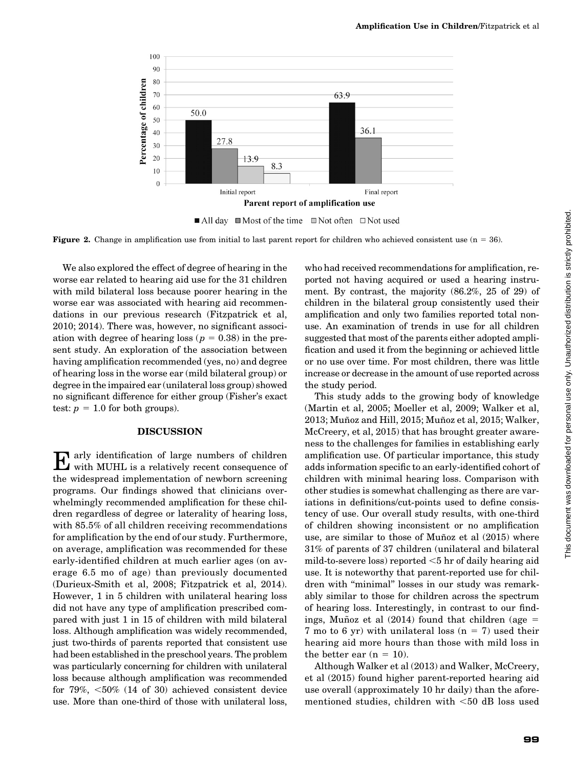

**Figure 2.** Change in amplification use from initial to last parent report for children who achieved consistent use  $(n = 36)$ .

We also explored the effect of degree of hearing in the worse ear related to hearing aid use for the 31 children with mild bilateral loss because poorer hearing in the worse ear was associated with hearing aid recommendations in our previous research (Fitzpatrick et al, 2010; 2014). There was, however, no significant association with degree of hearing loss ( $p = 0.38$ ) in the present study. An exploration of the association between having amplification recommended (yes, no) and degree of hearing loss in the worse ear (mild bilateral group) or degree in the impaired ear (unilateral loss group) showed no significant difference for either group (Fisher's exact test:  $p = 1.0$  for both groups).

#### DISCUSSION

Early identification of large numbers of children with MUHL is a relatively recent consequence of the widespread implementation of newborn screening programs. Our findings showed that clinicians overwhelmingly recommended amplification for these children regardless of degree or laterality of hearing loss, with 85.5% of all children receiving recommendations for amplification by the end of our study. Furthermore, on average, amplification was recommended for these early-identified children at much earlier ages (on average 6.5 mo of age) than previously documented (Durieux-Smith et al, 2008; Fitzpatrick et al, 2014). However, 1 in 5 children with unilateral hearing loss did not have any type of amplification prescribed compared with just 1 in 15 of children with mild bilateral loss. Although amplification was widely recommended, just two-thirds of parents reported that consistent use had been established in the preschool years. The problem was particularly concerning for children with unilateral loss because although amplification was recommended for  $79\%$ ,  $\leq 50\%$  (14 of 30) achieved consistent device use. More than one-third of those with unilateral loss, who had received recommendations for amplification, reported not having acquired or used a hearing instrument. By contrast, the majority (86.2%, 25 of 29) of children in the bilateral group consistently used their amplification and only two families reported total nonuse. An examination of trends in use for all children suggested that most of the parents either adopted amplification and used it from the beginning or achieved little or no use over time. For most children, there was little increase or decrease in the amount of use reported across the study period.

This study adds to the growing body of knowledge (Martin et al, 2005; Moeller et al, 2009; Walker et al, 2013; Muñoz and Hill, 2015; Muñoz et al, 2015; Walker, McCreery, et al, 2015) that has brought greater awareness to the challenges for families in establishing early amplification use. Of particular importance, this study adds information specific to an early-identified cohort of children with minimal hearing loss. Comparison with other studies is somewhat challenging as there are variations in definitions/cut-points used to define consistency of use. Our overall study results, with one-third of children showing inconsistent or no amplification use, are similar to those of Muñoz et al  $(2015)$  where 31% of parents of 37 children (unilateral and bilateral mild-to-severe loss) reported  $<$ 5 hr of daily hearing aid use. It is noteworthy that parent-reported use for children with "minimal" losses in our study was remarkably similar to those for children across the spectrum of hearing loss. Interestingly, in contrast to our findings, Muñoz et al  $(2014)$  found that children (age = 7 mo to 6 yr) with unilateral loss  $(n = 7)$  used their hearing aid more hours than those with mild loss in the better ear  $(n = 10)$ .

Although Walker et al (2013) and Walker, McCreery, et al (2015) found higher parent-reported hearing aid use overall (approximately 10 hr daily) than the aforementioned studies, children with  $<$ 50 dB loss used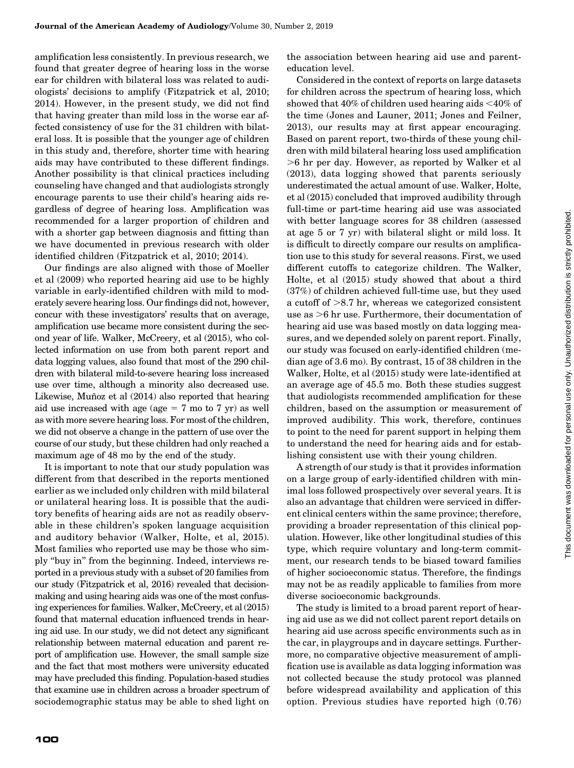amplification less consistently. In previous research, we found that greater degree of hearing loss in the worse ear for children with bilateral loss was related to audiologists' decisions to amplify (Fitzpatrick et al, 2010; 2014). However, in the present study, we did not find that having greater than mild loss in the worse ear affected consistency of use for the 31 children with bilateral loss. It is possible that the younger age of children in this study and, therefore, shorter time with hearing aids may have contributed to these different findings. Another possibility is that clinical practices including counseling have changed and that audiologists strongly encourage parents to use their child's hearing aids regardless of degree of hearing loss. Amplification was recommended for a larger proportion of children and with a shorter gap between diagnosis and fitting than we have documented in previous research with older identified children (Fitzpatrick et al, 2010; 2014).

Our findings are also aligned with those of Moeller et al (2009) who reported hearing aid use to be highly variable in early-identified children with mild to moderately severe hearing loss. Our findings did not, however, concur with these investigators' results that on average, amplification use became more consistent during the second year of life. Walker, McCreery, et al (2015), who collected information on use from both parent report and data logging values, also found that most of the 290 children with bilateral mild-to-severe hearing loss increased use over time, although a minority also decreased use. Likewise, Muñoz et al (2014) also reported that hearing aid use increased with age (age  $= 7$  mo to 7 yr) as well as with more severe hearing loss. For most of the children, we did not observe a change in the pattern of use over the course of our study, but these children had only reached a maximum age of 48 mo by the end of the study.

It is important to note that our study population was different from that described in the reports mentioned earlier as we included only children with mild bilateral or unilateral hearing loss. It is possible that the auditory benefits of hearing aids are not as readily observable in these children's spoken language acquisition and auditory behavior (Walker, Holte, et al, 2015). Most families who reported use may be those who simply ''buy in'' from the beginning. Indeed, interviews reported in a previous study with a subset of 20 families from our study (Fitzpatrick et al, 2016) revealed that decisionmaking and using hearing aids was one of the most confusing experiences for families. Walker, McCreery, et al (2015) found that maternal education influenced trends in hearing aid use. In our study, we did not detect any significant relationship between maternal education and parent report of amplification use. However, the small sample size and the fact that most mothers were university educated may have precluded this finding. Population-based studies that examine use in children across a broader spectrum of sociodemographic status may be able to shed light on the association between hearing aid use and parenteducation level.

Considered in the context of reports on large datasets for children across the spectrum of hearing loss, which showed that  $40\%$  of children used hearing aids  $<40\%$  of the time (Jones and Launer, 2011; Jones and Feilner, 2013), our results may at first appear encouraging. Based on parent report, two-thirds of these young children with mild bilateral hearing loss used amplification  $>6$  hr per day. However, as reported by Walker et all (2013), data logging showed that parents seriously underestimated the actual amount of use. Walker, Holte, et al (2015) concluded that improved audibility through full-time or part-time hearing aid use was associated with better language scores for 38 children (assessed at age 5 or 7 yr) with bilateral slight or mild loss. It is difficult to directly compare our results on amplification use to this study for several reasons. First, we used different cutoffs to categorize children. The Walker, Holte, et al (2015) study showed that about a third (37%) of children achieved full-time use, but they used a cutoff of  $>8.7$  hr, whereas we categorized consistent use as  $>6$  hr use. Furthermore, their documentation of hearing aid use was based mostly on data logging measures, and we depended solely on parent report. Finally, our study was focused on early-identified children (median age of 3.6 mo). By contrast, 15 of 38 children in the Walker, Holte, et al (2015) study were late-identified at an average age of 45.5 mo. Both these studies suggest that audiologists recommended amplification for these children, based on the assumption or measurement of improved audibility. This work, therefore, continues to point to the need for parent support in helping them to understand the need for hearing aids and for establishing consistent use with their young children.

A strength of our study is that it provides information on a large group of early-identified children with minimal loss followed prospectively over several years. It is also an advantage that children were serviced in different clinical centers within the same province; therefore, providing a broader representation of this clinical population. However, like other longitudinal studies of this type, which require voluntary and long-term commitment, our research tends to be biased toward families of higher socioeconomic status. Therefore, the findings may not be as readily applicable to families from more diverse socioeconomic backgrounds.

The study is limited to a broad parent report of hearing aid use as we did not collect parent report details on hearing aid use across specific environments such as in the car, in playgroups and in daycare settings. Furthermore, no comparative objective measurement of amplification use is available as data logging information was not collected because the study protocol was planned before widespread availability and application of this option. Previous studies have reported high (0.76)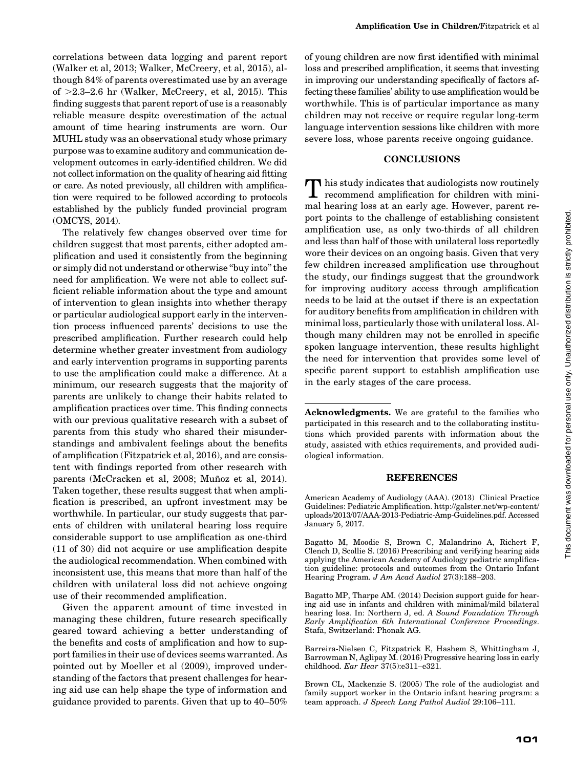correlations between data logging and parent report (Walker et al, 2013; Walker, McCreery, et al, 2015), although 84% of parents overestimated use by an average of  $>2.3-2.6$  hr (Walker, McCreery, et al, 2015). This finding suggests that parent report of use is a reasonably reliable measure despite overestimation of the actual amount of time hearing instruments are worn. Our MUHL study was an observational study whose primary purpose was to examine auditory and communication development outcomes in early-identified children. We did not collect information on the quality of hearing aid fitting or care. As noted previously, all children with amplification were required to be followed according to protocols established by the publicly funded provincial program (OMCYS, 2014).

The relatively few changes observed over time for children suggest that most parents, either adopted amplification and used it consistently from the beginning or simply did not understand or otherwise ''buy into'' the need for amplification. We were not able to collect sufficient reliable information about the type and amount of intervention to glean insights into whether therapy or particular audiological support early in the intervention process influenced parents' decisions to use the prescribed amplification. Further research could help determine whether greater investment from audiology and early intervention programs in supporting parents to use the amplification could make a difference. At a minimum, our research suggests that the majority of parents are unlikely to change their habits related to amplification practices over time. This finding connects with our previous qualitative research with a subset of parents from this study who shared their misunderstandings and ambivalent feelings about the benefits of amplification (Fitzpatrick et al, 2016), and are consistent with findings reported from other research with parents (McCracken et al, 2008; Muñoz et al, 2014). Taken together, these results suggest that when amplification is prescribed, an upfront investment may be worthwhile. In particular, our study suggests that parents of children with unilateral hearing loss require considerable support to use amplification as one-third (11 of 30) did not acquire or use amplification despite the audiological recommendation. When combined with inconsistent use, this means that more than half of the children with unilateral loss did not achieve ongoing use of their recommended amplification.

Given the apparent amount of time invested in managing these children, future research specifically geared toward achieving a better understanding of the benefits and costs of amplification and how to support families in their use of devices seems warranted. As pointed out by Moeller et al (2009), improved understanding of the factors that present challenges for hearing aid use can help shape the type of information and guidance provided to parents. Given that up to 40–50%

of young children are now first identified with minimal loss and prescribed amplification, it seems that investing in improving our understanding specifically of factors affecting these families' ability to use amplification would be worthwhile. This is of particular importance as many children may not receive or require regular long-term language intervention sessions like children with more severe loss, whose parents receive ongoing guidance.

#### CONCLUSIONS

**T** his study indicates that audiologists now routinely recommend amplification for children with minimal hearing loss at an early age. However, parent report points to the challenge of establishing consistent amplification use, as only two-thirds of all children and less than half of those with unilateral loss reportedly wore their devices on an ongoing basis. Given that very few children increased amplification use throughout the study, our findings suggest that the groundwork for improving auditory access through amplification needs to be laid at the outset if there is an expectation for auditory benefits from amplification in children with minimal loss, particularly those with unilateral loss. Although many children may not be enrolled in specific spoken language intervention, these results highlight the need for intervention that provides some level of specific parent support to establish amplification use in the early stages of the care process.

Acknowledgments. We are grateful to the families who participated in this research and to the collaborating institutions which provided parents with information about the study, assisted with ethics requirements, and provided audiological information.

#### REFERENCES

American Academy of Audiology (AAA). (2013) Clinical Practice Guidelines: Pediatric Amplification. [http://galster.net/wp-content/](http://galster.net/wp-content/uploads/2013/07/AAA-2013-Pediatric-Amp-Guidelines.pdf) [uploads/2013/07/AAA-2013-Pediatric-Amp-Guidelines.pdf](http://galster.net/wp-content/uploads/2013/07/AAA-2013-Pediatric-Amp-Guidelines.pdf). Accessed January 5, 2017.

Bagatto M, Moodie S, Brown C, Malandrino A, Richert F, Clench D, Scollie S. (2016) Prescribing and verifying hearing aids applying the American Academy of Audiology pediatric amplification guideline: protocols and outcomes from the Ontario Infant Hearing Program. J Am Acad Audiol 27(3):188–203.

Bagatto MP, Tharpe AM. (2014) Decision support guide for hearing aid use in infants and children with minimal/mild bilateral hearing loss. In: Northern J, ed. A Sound Foundation Through Early Amplification 6th International Conference Proceedings. Stafa, Switzerland: Phonak AG.

Barreira-Nielsen C, Fitzpatrick E, Hashem S, Whittingham J, Barrowman N, Aglipay M. (2016) Progressive hearing loss in early childhood. Ear Hear 37(5):e311–e321.

Brown CL, Mackenzie S. (2005) The role of the audiologist and family support worker in the Ontario infant hearing program: a team approach. J Speech Lang Pathol Audiol 29:106–111.